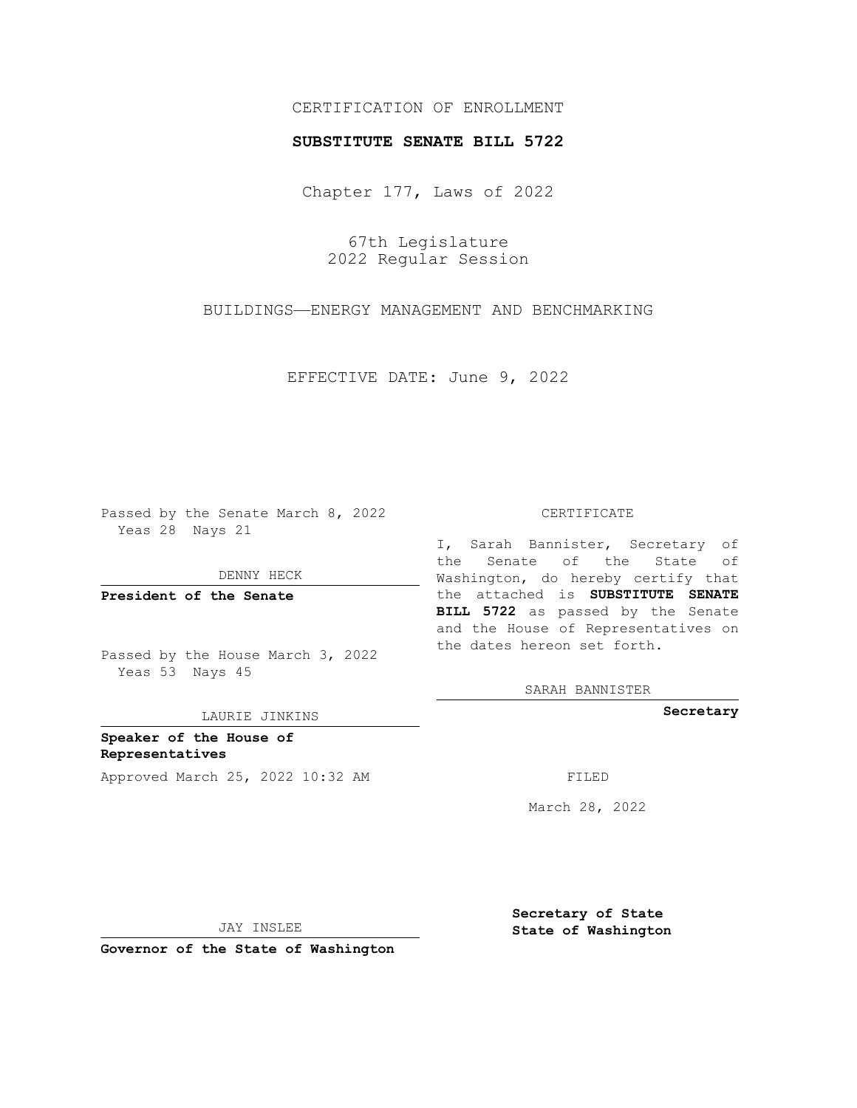## CERTIFICATION OF ENROLLMENT

## **SUBSTITUTE SENATE BILL 5722**

Chapter 177, Laws of 2022

67th Legislature 2022 Regular Session

BUILDINGS—ENERGY MANAGEMENT AND BENCHMARKING

EFFECTIVE DATE: June 9, 2022

Passed by the Senate March 8, 2022 Yeas 28 Nays 21

DENNY HECK

**President of the Senate**

Passed by the House March 3, 2022 Yeas 53 Nays 45

LAURIE JINKINS

**Speaker of the House of Representatives** Approved March 25, 2022 10:32 AM FILED

CERTIFICATE

I, Sarah Bannister, Secretary of the Senate of the State of Washington, do hereby certify that the attached is **SUBSTITUTE SENATE BILL 5722** as passed by the Senate and the House of Representatives on the dates hereon set forth.

SARAH BANNISTER

**Secretary**

March 28, 2022

JAY INSLEE

**Governor of the State of Washington**

**Secretary of State State of Washington**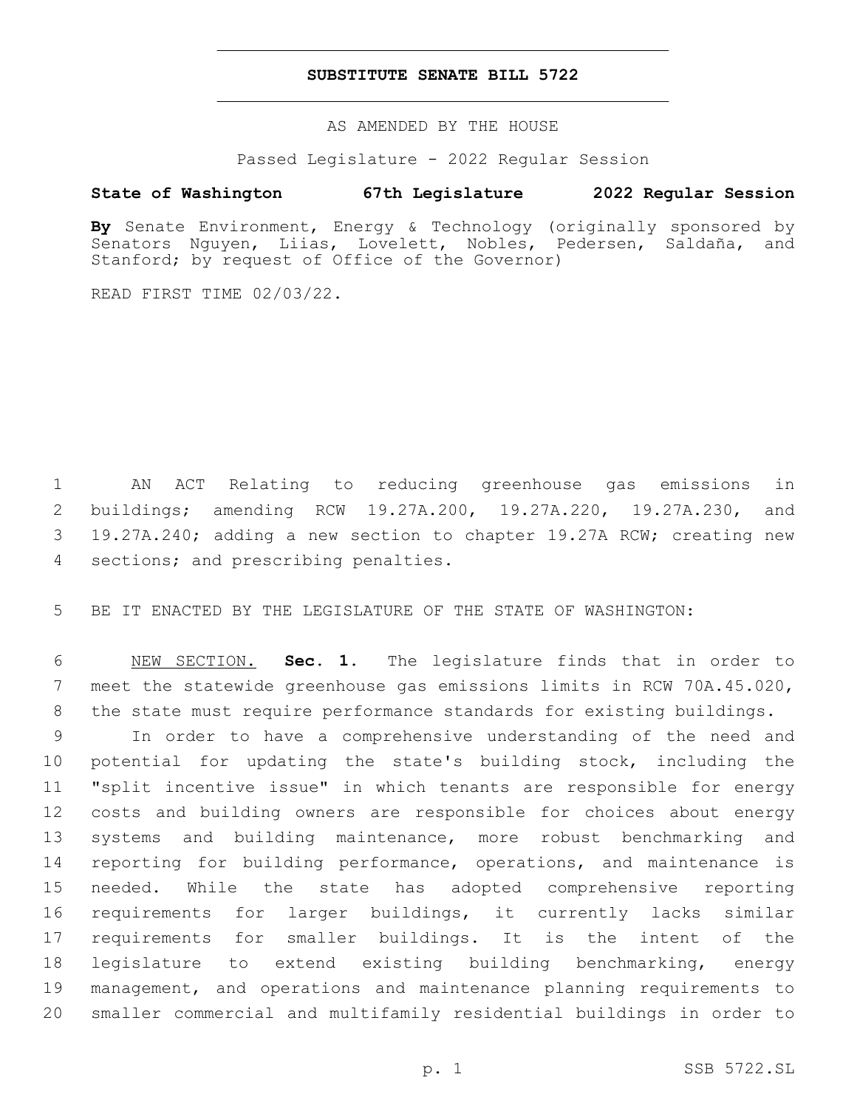## **SUBSTITUTE SENATE BILL 5722**

AS AMENDED BY THE HOUSE

Passed Legislature - 2022 Regular Session

## **State of Washington 67th Legislature 2022 Regular Session**

**By** Senate Environment, Energy & Technology (originally sponsored by Senators Nguyen, Liias, Lovelett, Nobles, Pedersen, Saldaña, and Stanford; by request of Office of the Governor)

READ FIRST TIME 02/03/22.

 AN ACT Relating to reducing greenhouse gas emissions in buildings; amending RCW 19.27A.200, 19.27A.220, 19.27A.230, and 19.27A.240; adding a new section to chapter 19.27A RCW; creating new 4 sections; and prescribing penalties.

BE IT ENACTED BY THE LEGISLATURE OF THE STATE OF WASHINGTON:

 NEW SECTION. **Sec. 1.** The legislature finds that in order to meet the statewide greenhouse gas emissions limits in RCW 70A.45.020, the state must require performance standards for existing buildings.

 In order to have a comprehensive understanding of the need and potential for updating the state's building stock, including the "split incentive issue" in which tenants are responsible for energy costs and building owners are responsible for choices about energy systems and building maintenance, more robust benchmarking and reporting for building performance, operations, and maintenance is needed. While the state has adopted comprehensive reporting requirements for larger buildings, it currently lacks similar requirements for smaller buildings. It is the intent of the legislature to extend existing building benchmarking, energy management, and operations and maintenance planning requirements to smaller commercial and multifamily residential buildings in order to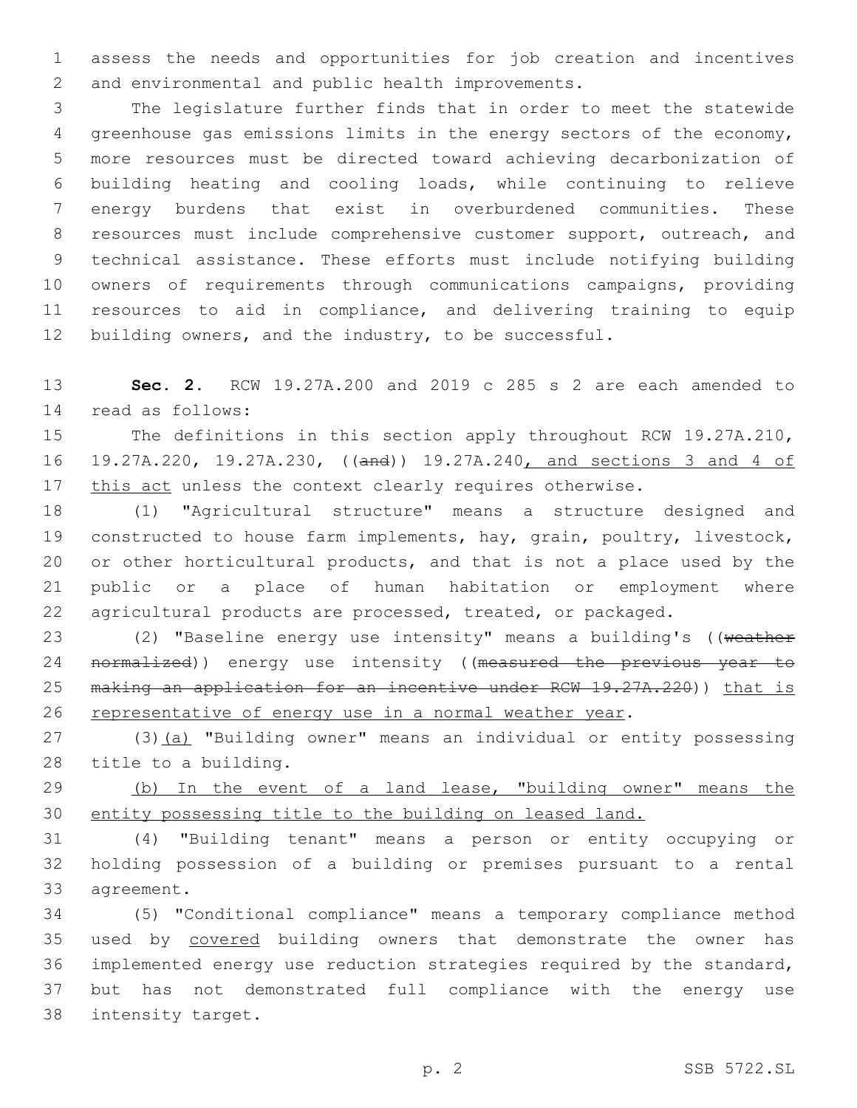assess the needs and opportunities for job creation and incentives 2 and environmental and public health improvements.

 The legislature further finds that in order to meet the statewide greenhouse gas emissions limits in the energy sectors of the economy, more resources must be directed toward achieving decarbonization of building heating and cooling loads, while continuing to relieve energy burdens that exist in overburdened communities. These 8 resources must include comprehensive customer support, outreach, and technical assistance. These efforts must include notifying building owners of requirements through communications campaigns, providing resources to aid in compliance, and delivering training to equip 12 building owners, and the industry, to be successful.

 **Sec. 2.** RCW 19.27A.200 and 2019 c 285 s 2 are each amended to read as follows:14

 The definitions in this section apply throughout RCW 19.27A.210, 19.27A.220, 19.27A.230, ((and)) 19.27A.240, and sections 3 and 4 of 17 this act unless the context clearly requires otherwise.

 (1) "Agricultural structure" means a structure designed and constructed to house farm implements, hay, grain, poultry, livestock, or other horticultural products, and that is not a place used by the public or a place of human habitation or employment where agricultural products are processed, treated, or packaged.

23 (2) "Baseline energy use intensity" means a building's ((weather 24 normalized)) energy use intensity ((measured the previous year to 25 making an application for an incentive under RCW 19.27A.220)) that is representative of energy use in a normal weather year.

27 (3)(a) "Building owner" means an individual or entity possessing 28 title to a building.

29 (b) In the event of a land lease, "building owner" means the entity possessing title to the building on leased land.

 (4) "Building tenant" means a person or entity occupying or holding possession of a building or premises pursuant to a rental 33 agreement.

 (5) "Conditional compliance" means a temporary compliance method used by covered building owners that demonstrate the owner has implemented energy use reduction strategies required by the standard, but has not demonstrated full compliance with the energy use 38 intensity target.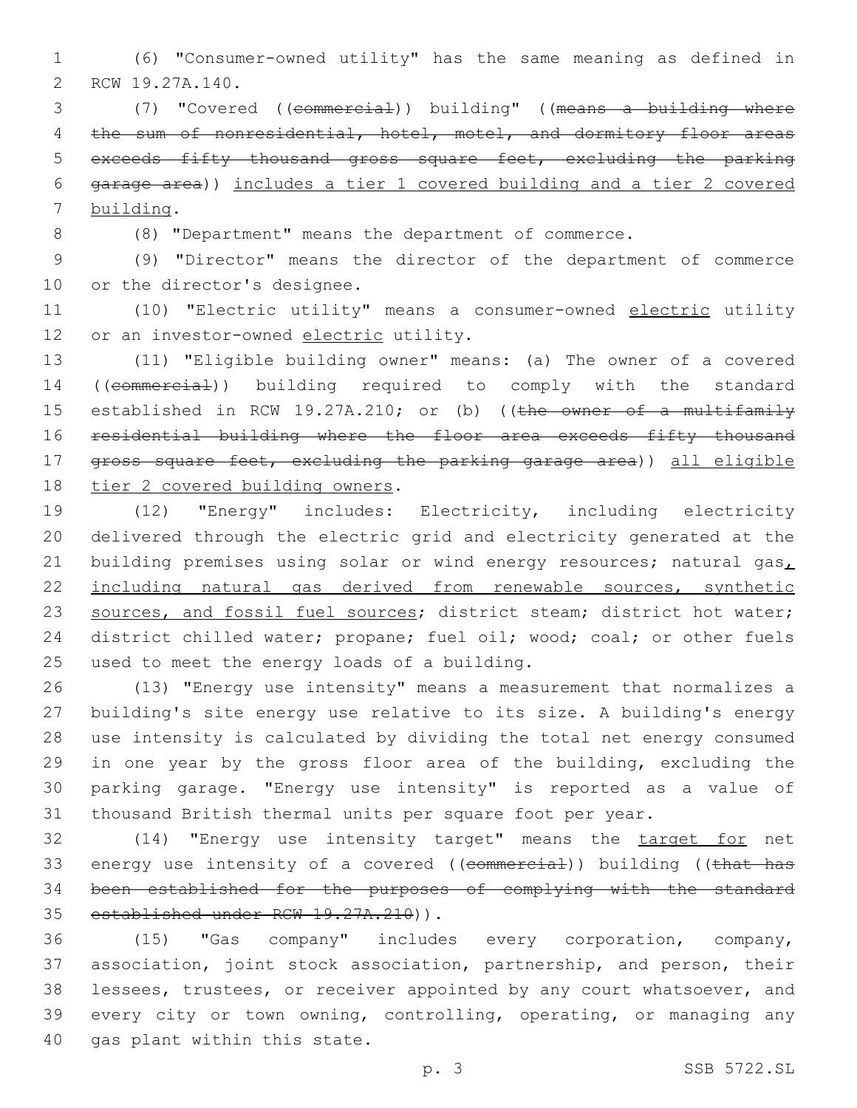(6) "Consumer-owned utility" has the same meaning as defined in 2 RCW 19.27A.140.

 (7) "Covered ((commercial)) building" ((means a building where 4 the sum of nonresidential, hotel, motel, and dormitory floor areas exceeds fifty thousand gross square feet, excluding the parking garage area)) includes a tier 1 covered building and a tier 2 covered 7 building.

(8) "Department" means the department of commerce.

 (9) "Director" means the director of the department of commerce 10 or the director's designee.

 (10) "Electric utility" means a consumer-owned electric utility 12 or an investor-owned electric utility.

 (11) "Eligible building owner" means: (a) The owner of a covered ((commercial)) building required to comply with the standard 15 established in RCW 19.27A.210; or (b) ((the owner of a multifamily residential building where the floor area exceeds fifty thousand gross square feet, excluding the parking garage area)) all eligible 18 tier 2 covered building owners.

 (12) "Energy" includes: Electricity, including electricity delivered through the electric grid and electricity generated at the 21 building premises using solar or wind energy resources; natural gas $_L$  including natural gas derived from renewable sources, synthetic 23 sources, and fossil fuel sources; district steam; district hot water; 24 district chilled water; propane; fuel oil; wood; coal; or other fuels 25 used to meet the energy loads of a building.

 (13) "Energy use intensity" means a measurement that normalizes a building's site energy use relative to its size. A building's energy use intensity is calculated by dividing the total net energy consumed in one year by the gross floor area of the building, excluding the parking garage. "Energy use intensity" is reported as a value of thousand British thermal units per square foot per year.

 (14) "Energy use intensity target" means the target for net 33 energy use intensity of a covered ((commercial)) building ((that has been established for the purposes of complying with the standard 35 established under RCW 19.27A.210)).

 (15) "Gas company" includes every corporation, company, association, joint stock association, partnership, and person, their lessees, trustees, or receiver appointed by any court whatsoever, and every city or town owning, controlling, operating, or managing any 40 gas plant within this state.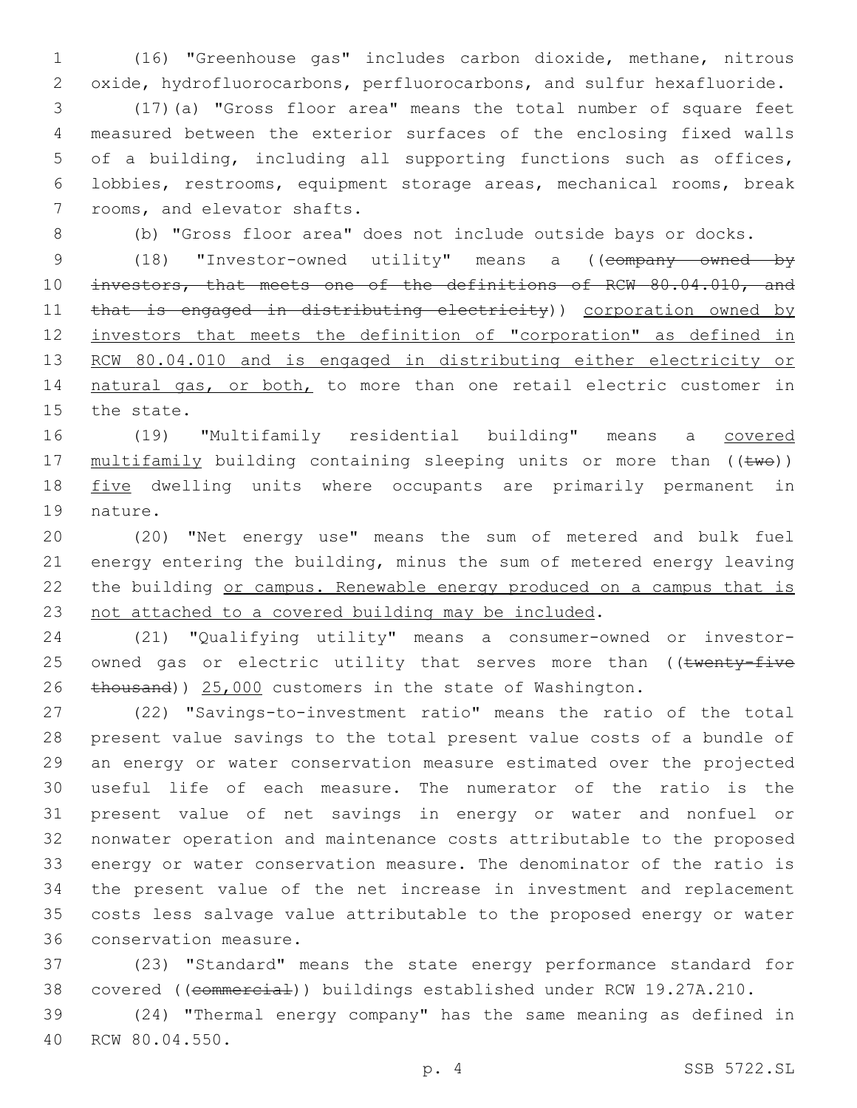1 (16) "Greenhouse gas" includes carbon dioxide, methane, nitrous 2 oxide, hydrofluorocarbons, perfluorocarbons, and sulfur hexafluoride.

 (17)(a) "Gross floor area" means the total number of square feet measured between the exterior surfaces of the enclosing fixed walls of a building, including all supporting functions such as offices, lobbies, restrooms, equipment storage areas, mechanical rooms, break 7 rooms, and elevator shafts.

8 (b) "Gross floor area" does not include outside bays or docks.

9 (18) "Investor-owned utility" means a ((company owned by 10 investors, that meets one of the definitions of RCW 80.04.010, and 11 that is engaged in distributing electricity)) corporation owned by 12 investors that meets the definition of "corporation" as defined in 13 RCW 80.04.010 and is engaged in distributing either electricity or 14 natural gas, or both, to more than one retail electric customer in 15 the state.

16 (19) "Multifamily residential building" means a covered 17 multifamily building containing sleeping units or more than ((two)) 18 five dwelling units where occupants are primarily permanent in 19 nature.

 (20) "Net energy use" means the sum of metered and bulk fuel energy entering the building, minus the sum of metered energy leaving 22 the building or campus. Renewable energy produced on a campus that is not attached to a covered building may be included.

24 (21) "Qualifying utility" means a consumer-owned or investor-25 owned gas or electric utility that serves more than ((twenty-five 26 thousand)) 25,000 customers in the state of Washington.

 (22) "Savings-to-investment ratio" means the ratio of the total present value savings to the total present value costs of a bundle of an energy or water conservation measure estimated over the projected useful life of each measure. The numerator of the ratio is the present value of net savings in energy or water and nonfuel or nonwater operation and maintenance costs attributable to the proposed energy or water conservation measure. The denominator of the ratio is the present value of the net increase in investment and replacement costs less salvage value attributable to the proposed energy or water 36 conservation measure.

37 (23) "Standard" means the state energy performance standard for 38 covered ((commercial)) buildings established under RCW 19.27A.210.

39 (24) "Thermal energy company" has the same meaning as defined in 40 RCW 80.04.550.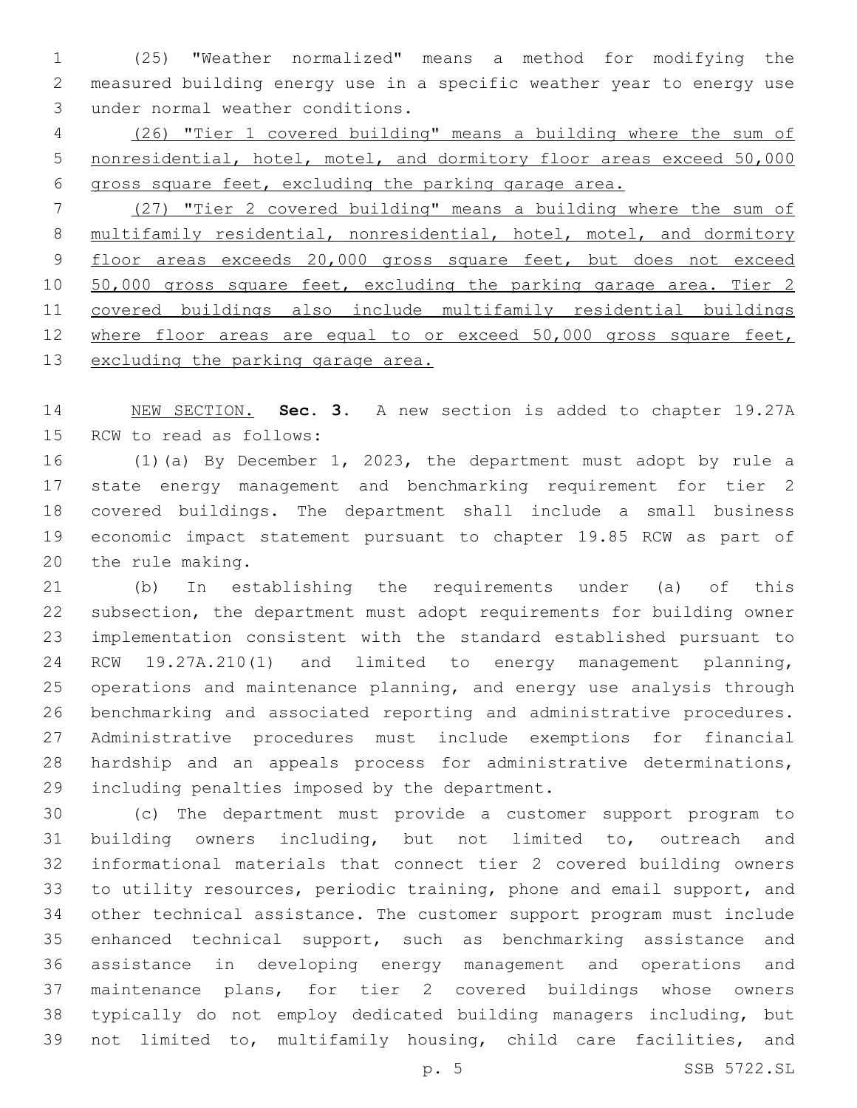(25) "Weather normalized" means a method for modifying the measured building energy use in a specific weather year to energy use 3 under normal weather conditions.

 (26) "Tier 1 covered building" means a building where the sum of nonresidential, hotel, motel, and dormitory floor areas exceed 50,000 gross square feet, excluding the parking garage area.

 (27) "Tier 2 covered building" means a building where the sum of 8 multifamily residential, nonresidential, hotel, motel, and dormitory 9 floor areas exceeds 20,000 gross square feet, but does not exceed 10 50,000 gross square feet, excluding the parking garage area. Tier 2 covered buildings also include multifamily residential buildings 12 where floor areas are equal to or exceed 50,000 gross square feet, 13 excluding the parking garage area.

 NEW SECTION. **Sec. 3.** A new section is added to chapter 19.27A 15 RCW to read as follows:

 (1)(a) By December 1, 2023, the department must adopt by rule a state energy management and benchmarking requirement for tier 2 covered buildings. The department shall include a small business economic impact statement pursuant to chapter 19.85 RCW as part of 20 the rule making.

 (b) In establishing the requirements under (a) of this subsection, the department must adopt requirements for building owner implementation consistent with the standard established pursuant to RCW 19.27A.210(1) and limited to energy management planning, operations and maintenance planning, and energy use analysis through benchmarking and associated reporting and administrative procedures. Administrative procedures must include exemptions for financial hardship and an appeals process for administrative determinations, 29 including penalties imposed by the department.

 (c) The department must provide a customer support program to building owners including, but not limited to, outreach and informational materials that connect tier 2 covered building owners to utility resources, periodic training, phone and email support, and other technical assistance. The customer support program must include enhanced technical support, such as benchmarking assistance and assistance in developing energy management and operations and maintenance plans, for tier 2 covered buildings whose owners typically do not employ dedicated building managers including, but not limited to, multifamily housing, child care facilities, and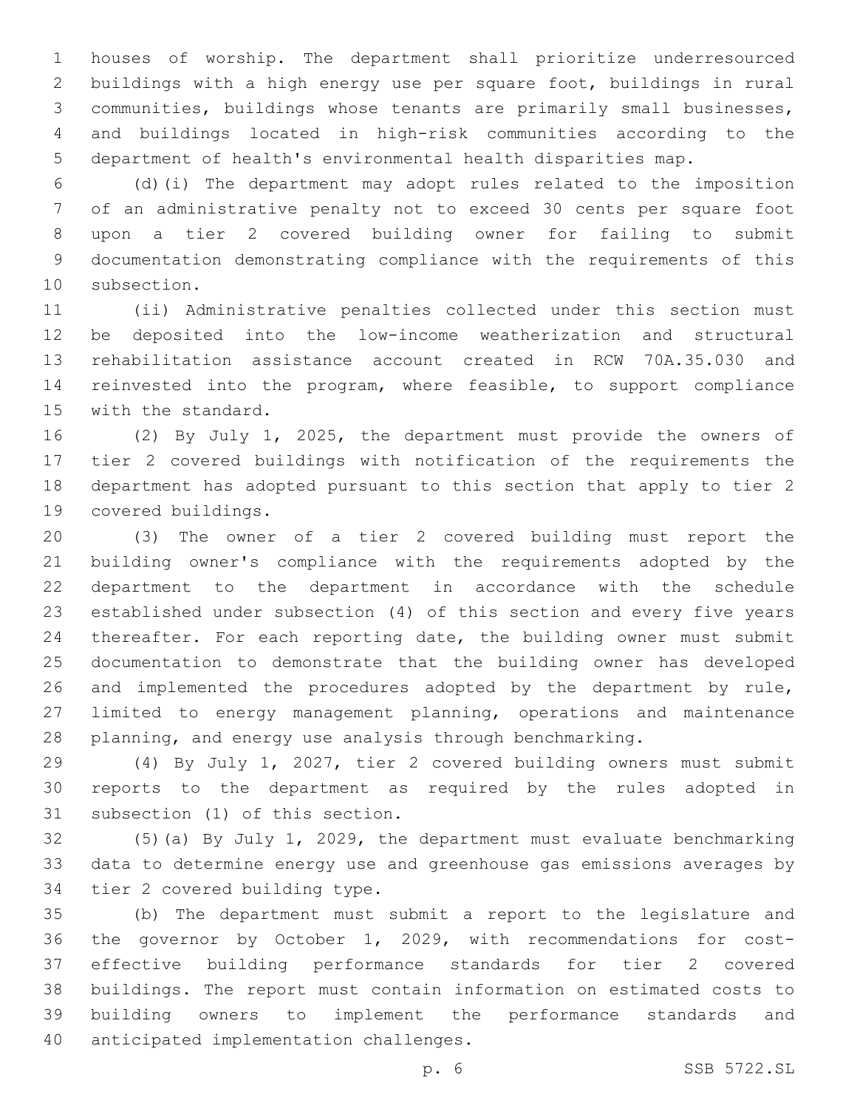houses of worship. The department shall prioritize underresourced buildings with a high energy use per square foot, buildings in rural communities, buildings whose tenants are primarily small businesses, and buildings located in high-risk communities according to the department of health's environmental health disparities map.

 (d)(i) The department may adopt rules related to the imposition of an administrative penalty not to exceed 30 cents per square foot upon a tier 2 covered building owner for failing to submit documentation demonstrating compliance with the requirements of this 10 subsection.

 (ii) Administrative penalties collected under this section must be deposited into the low-income weatherization and structural rehabilitation assistance account created in RCW 70A.35.030 and reinvested into the program, where feasible, to support compliance 15 with the standard.

 (2) By July 1, 2025, the department must provide the owners of tier 2 covered buildings with notification of the requirements the department has adopted pursuant to this section that apply to tier 2 19 covered buildings.

 (3) The owner of a tier 2 covered building must report the building owner's compliance with the requirements adopted by the department to the department in accordance with the schedule established under subsection (4) of this section and every five years thereafter. For each reporting date, the building owner must submit documentation to demonstrate that the building owner has developed and implemented the procedures adopted by the department by rule, limited to energy management planning, operations and maintenance planning, and energy use analysis through benchmarking.

 (4) By July 1, 2027, tier 2 covered building owners must submit reports to the department as required by the rules adopted in 31 subsection (1) of this section.

 (5)(a) By July 1, 2029, the department must evaluate benchmarking data to determine energy use and greenhouse gas emissions averages by 34 tier 2 covered building type.

 (b) The department must submit a report to the legislature and the governor by October 1, 2029, with recommendations for cost- effective building performance standards for tier 2 covered buildings. The report must contain information on estimated costs to building owners to implement the performance standards and 40 anticipated implementation challenges.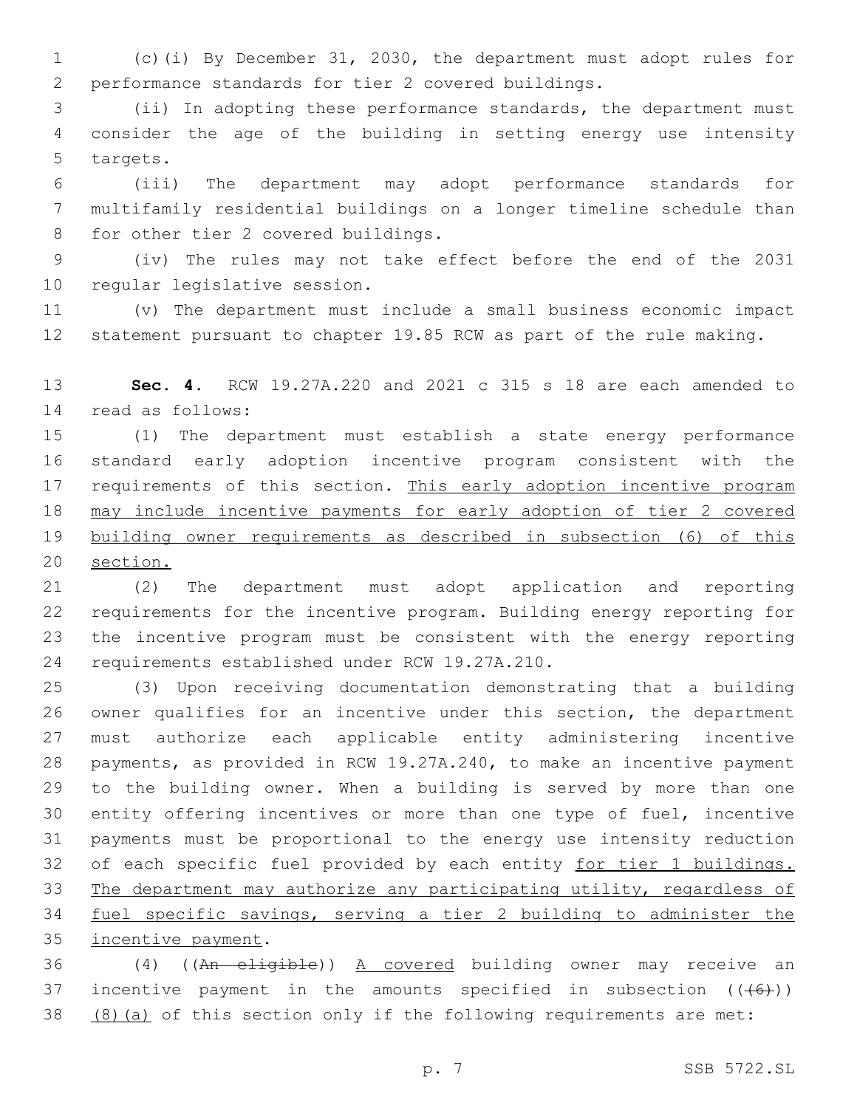(c)(i) By December 31, 2030, the department must adopt rules for performance standards for tier 2 covered buildings.

 (ii) In adopting these performance standards, the department must consider the age of the building in setting energy use intensity 5 targets.

 (iii) The department may adopt performance standards for multifamily residential buildings on a longer timeline schedule than 8 for other tier 2 covered buildings.

 (iv) The rules may not take effect before the end of the 2031 10 regular legislative session.

 (v) The department must include a small business economic impact statement pursuant to chapter 19.85 RCW as part of the rule making.

 **Sec. 4.** RCW 19.27A.220 and 2021 c 315 s 18 are each amended to 14 read as follows:

 (1) The department must establish a state energy performance standard early adoption incentive program consistent with the 17 requirements of this section. This early adoption incentive program may include incentive payments for early adoption of tier 2 covered building owner requirements as described in subsection (6) of this section.

 (2) The department must adopt application and reporting requirements for the incentive program. Building energy reporting for the incentive program must be consistent with the energy reporting 24 requirements established under RCW 19.27A.210.

 (3) Upon receiving documentation demonstrating that a building owner qualifies for an incentive under this section, the department must authorize each applicable entity administering incentive payments, as provided in RCW 19.27A.240, to make an incentive payment to the building owner. When a building is served by more than one entity offering incentives or more than one type of fuel, incentive payments must be proportional to the energy use intensity reduction 32 of each specific fuel provided by each entity for tier 1 buildings. The department may authorize any participating utility, regardless of fuel specific savings, serving a tier 2 building to administer the 35 incentive payment.

 (4) ((An eligible)) A covered building owner may receive an 37 incentive payment in the amounts specified in subsection  $((+6+))$ (8)(a) of this section only if the following requirements are met: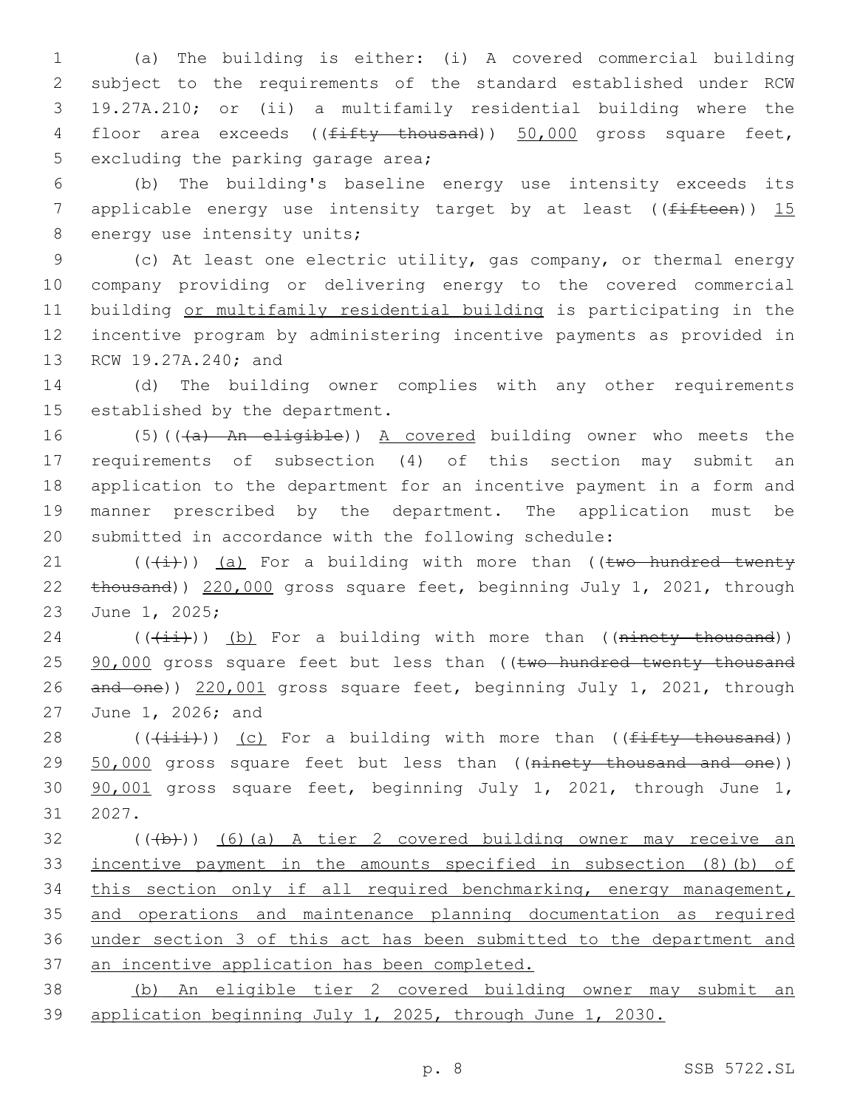(a) The building is either: (i) A covered commercial building subject to the requirements of the standard established under RCW 19.27A.210; or (ii) a multifamily residential building where the 4 floor area exceeds ((<del>fifty thousand</del>)) 50,000 gross square feet, 5 excluding the parking garage area;

 (b) The building's baseline energy use intensity exceeds its 7 applicable energy use intensity target by at least ( $(f<sup>if</sup>Heen)$ ) 15 8 energy use intensity units;

 (c) At least one electric utility, gas company, or thermal energy company providing or delivering energy to the covered commercial building or multifamily residential building is participating in the incentive program by administering incentive payments as provided in 13 RCW 19.27A.240; and

 (d) The building owner complies with any other requirements 15 established by the department.

16 (5)(((a) An eligible)) A covered building owner who meets the requirements of subsection (4) of this section may submit an application to the department for an incentive payment in a form and manner prescribed by the department. The application must be submitted in accordance with the following schedule:

21  $((+i+))$  (a) For a building with more than ((two hundred twenty thousand)) 220,000 gross square feet, beginning July 1, 2021, through 23 June 1, 2025;

 (( $(i+i)$ )) (b) For a building with more than ((ninety thousand)) 25 90,000 gross square feet but less than ((two hundred twenty thousand and one)) 220,001 gross square feet, beginning July 1, 2021, through 27 June 1, 2026; and

28  $((\overrightarrow{\text{init}}))$  (c) For a building with more than (( $\overrightarrow{\text{firsty}+$  thousand)) 29 50,000 gross square feet but less than ((ninety thousand and one)) 90,001 gross square feet, beginning July 1, 2021, through June 1, 31 2027.

 (( $\left(\frac{1}{2}+\right)$ ) (6)(a) A tier 2 covered building owner may receive an incentive payment in the amounts specified in subsection (8)(b) of this section only if all required benchmarking, energy management, and operations and maintenance planning documentation as required under section 3 of this act has been submitted to the department and an incentive application has been completed.

 (b) An eligible tier 2 covered building owner may submit an application beginning July 1, 2025, through June 1, 2030.

p. 8 SSB 5722.SL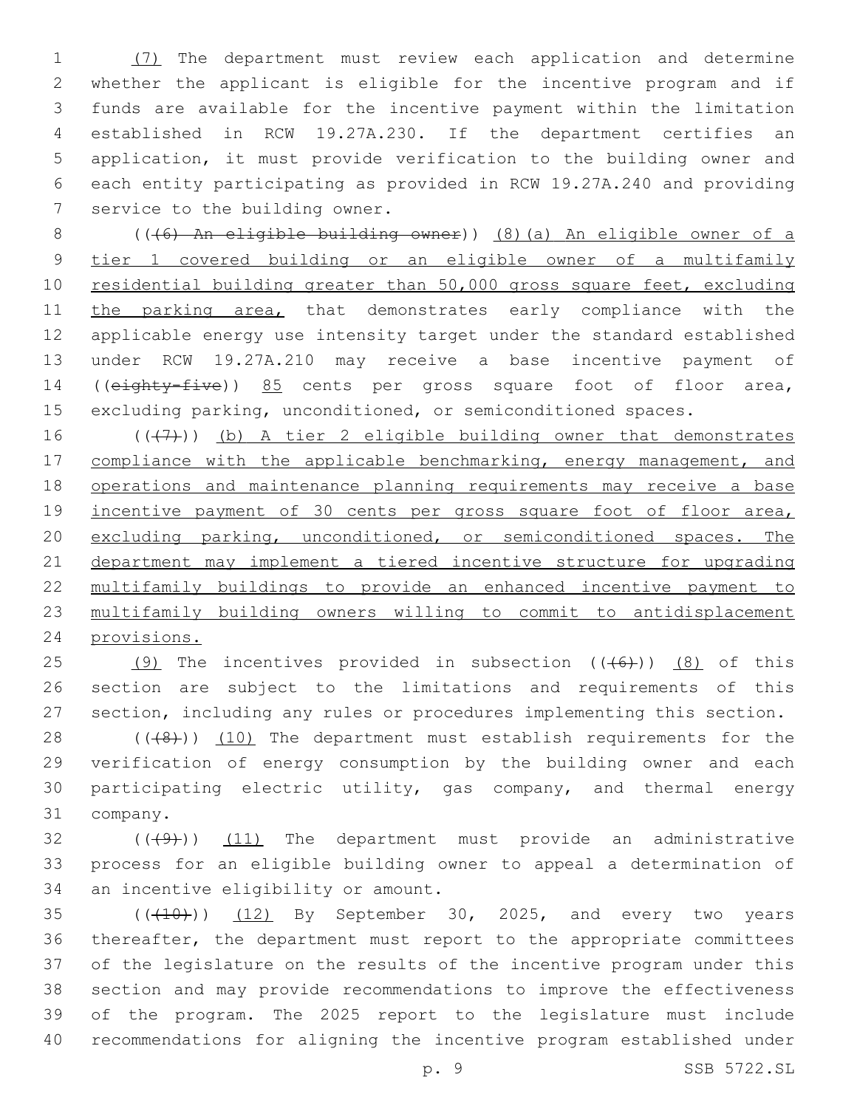(7) The department must review each application and determine whether the applicant is eligible for the incentive program and if funds are available for the incentive payment within the limitation established in RCW 19.27A.230. If the department certifies an application, it must provide verification to the building owner and each entity participating as provided in RCW 19.27A.240 and providing 7 service to the building owner.

 (((6) An eligible building owner)) (8)(a) An eligible owner of a tier 1 covered building or an eligible owner of a multifamily 10 residential building greater than 50,000 gross square feet, excluding 11 the parking area, that demonstrates early compliance with the applicable energy use intensity target under the standard established under RCW 19.27A.210 may receive a base incentive payment of ((eighty-five)) 85 cents per gross square foot of floor area, excluding parking, unconditioned, or semiconditioned spaces.

 $((+7+))$  (b) A tier 2 eligible building owner that demonstrates 17 compliance with the applicable benchmarking, energy management, and operations and maintenance planning requirements may receive a base 19 incentive payment of 30 cents per gross square foot of floor area, excluding parking, unconditioned, or semiconditioned spaces. The department may implement a tiered incentive structure for upgrading multifamily buildings to provide an enhanced incentive payment to multifamily building owners willing to commit to antidisplacement provisions.

25 (9) The incentives provided in subsection  $((+6+))$  (8) of this section are subject to the limitations and requirements of this section, including any rules or procedures implementing this section.

28 (((48))) (10) The department must establish requirements for the verification of energy consumption by the building owner and each participating electric utility, gas company, and thermal energy 31 company.

 $(1)$  ( $(4)$ )) (11) The department must provide an administrative process for an eligible building owner to appeal a determination of 34 an incentive eligibility or amount.

 $(1)$   $(12)$  By September 30, 2025, and every two years thereafter, the department must report to the appropriate committees of the legislature on the results of the incentive program under this section and may provide recommendations to improve the effectiveness of the program. The 2025 report to the legislature must include recommendations for aligning the incentive program established under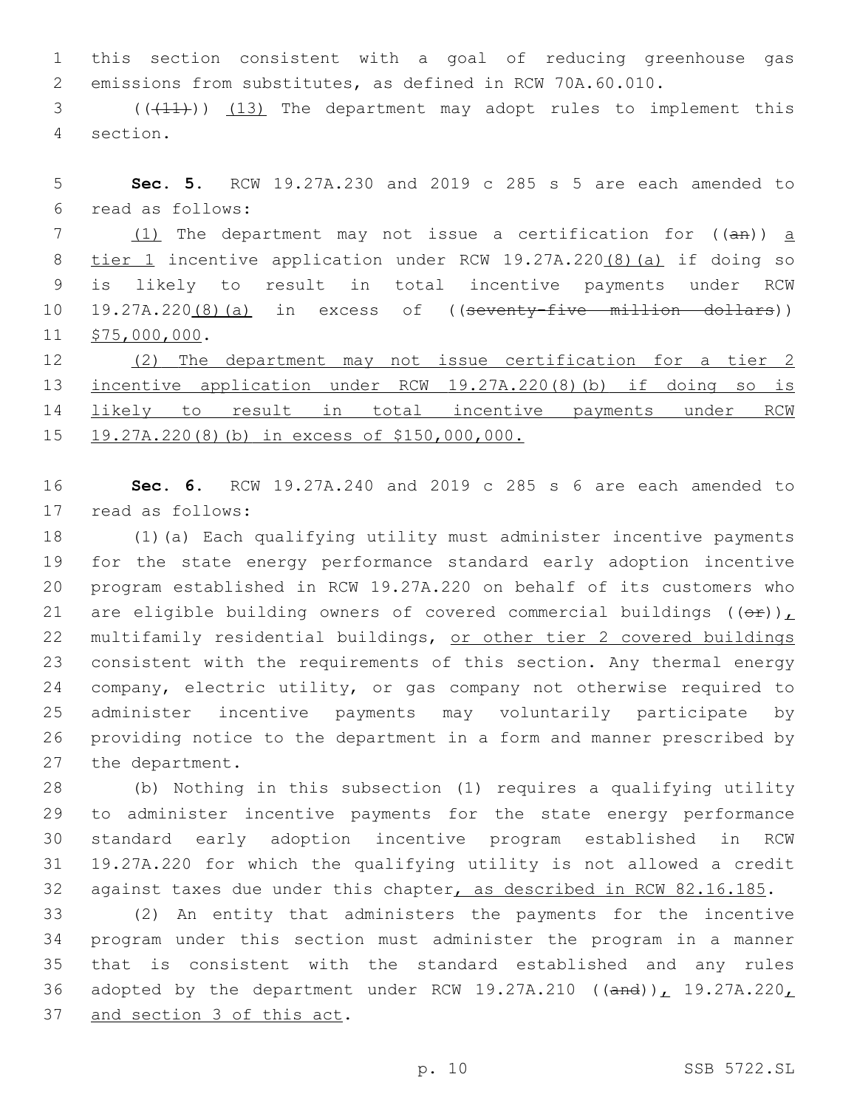this section consistent with a goal of reducing greenhouse gas emissions from substitutes, as defined in RCW 70A.60.010.

3 (( $(11)$ )) (13) The department may adopt rules to implement this section.4

 **Sec. 5.** RCW 19.27A.230 and 2019 c 285 s 5 are each amended to read as follows:6

 $(1)$  The department may not issue a certification for  $((a + b))$  a tier 1 incentive application under RCW 19.27A.220(8)(a) if doing so is likely to result in total incentive payments under RCW 19.27A.220(8)(a) in excess of ((seventy-five million dollars)) 11 \$75,000,000.

 (2) The department may not issue certification for a tier 2 incentive application under RCW 19.27A.220(8)(b) if doing so is likely to result in total incentive payments under RCW 19.27A.220(8)(b) in excess of \$150,000,000.

 **Sec. 6.** RCW 19.27A.240 and 2019 c 285 s 6 are each amended to 17 read as follows:

 (1)(a) Each qualifying utility must administer incentive payments for the state energy performance standard early adoption incentive program established in RCW 19.27A.220 on behalf of its customers who 21 are eligible building owners of covered commercial buildings  $((\theta \hat{r}))_L$  multifamily residential buildings, or other tier 2 covered buildings consistent with the requirements of this section. Any thermal energy company, electric utility, or gas company not otherwise required to administer incentive payments may voluntarily participate by providing notice to the department in a form and manner prescribed by 27 the department.

 (b) Nothing in this subsection (1) requires a qualifying utility to administer incentive payments for the state energy performance standard early adoption incentive program established in RCW 19.27A.220 for which the qualifying utility is not allowed a credit against taxes due under this chapter, as described in RCW 82.16.185.

 (2) An entity that administers the payments for the incentive program under this section must administer the program in a manner that is consistent with the standard established and any rules 36 adopted by the department under RCW 19.27A.210 (( $\text{and}$ )), 19.27A.220, 37 and section 3 of this act.